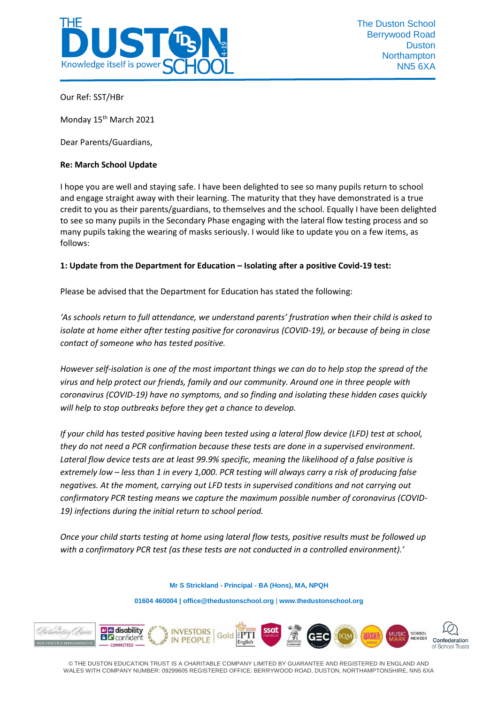

Our Ref: SST/HBr

Monday 15<sup>th</sup> March 2021

Dear Parents/Guardians,

## **Re: March School Update**

I hope you are well and staying safe. I have been delighted to see so many pupils return to school and engage straight away with their learning. The maturity that they have demonstrated is a true credit to you as their parents/guardians, to themselves and the school. Equally I have been delighted to see so many pupils in the Secondary Phase engaging with the lateral flow testing process and so many pupils taking the wearing of masks seriously. I would like to update you on a few items, as follows:

## **1: Update from the Department for Education – Isolating after a positive Covid-19 test:**

Please be advised that the Department for Education has stated the following:

*'As schools return to full attendance, we understand parents' frustration when their child is asked to isolate at home either after testing positive for coronavirus (COVID-19), or because of being in close contact of someone who has tested positive.* 

*However self-isolation is one of the most important things we can do to help stop the spread of the virus and help protect our friends, family and our community. Around one in three people with coronavirus (COVID-19) have no symptoms, and so finding and isolating these hidden cases quickly will help to stop outbreaks before they get a chance to develop.*

*If your child has tested positive having been tested using a lateral flow device (LFD) test at school, they do not need a PCR confirmation because these tests are done in a supervised environment. Lateral flow device tests are at least 99.9% specific, meaning the likelihood of a false positive is extremely low – less than 1 in every 1,000. PCR testing will always carry a risk of producing false negatives. At the moment, carrying out LFD tests in supervised conditions and not carrying out confirmatory PCR testing means we capture the maximum possible number of coronavirus (COVID-19) infections during the initial return to school period.* 

*Once your child starts testing at home using lateral flow tests, positive results must be followed up with a confirmatory PCR test (as these tests are not conducted in a controlled environment).'*

**Mr S Strickland - Principal - BA (Hons), MA, NPQH**

**01604 460004 [| office@thedustonschool.org](mailto:office@thedustonschool.org)** | **[www.thedustonschool.org](http://www.thedustonschool.org/)**



© THE DUSTON EDUCATION TRUST IS A CHARITABLE COMPANY LIMITED BY GUARANTEE AND REGISTERED IN ENGLAND AND WALES WITH COMPANY NUMBER: 09299605 REGISTERED OFFICE: BERRYWOOD ROAD, DUSTON, NORTHAMPTONSHIRE, NN5 6XA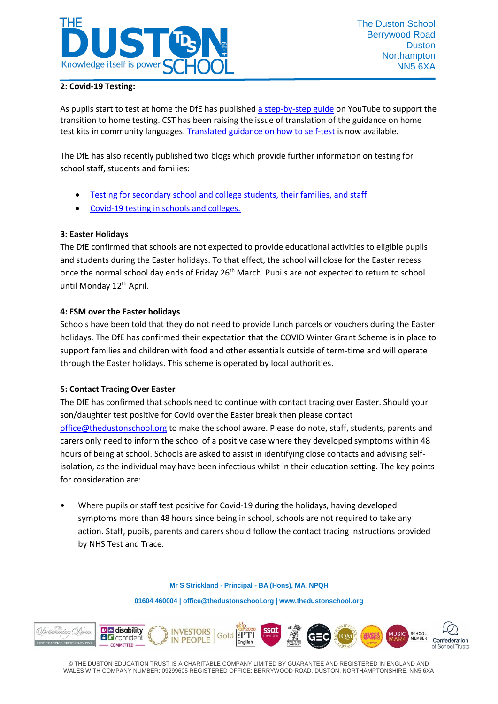

# **2: Covid-19 Testing:**

As pupils start to test at home the DfE has publishe[d a step-by-step guide](https://www.youtube.com/playlist?app=desktop&list=PLvaBZskxS7tzQYlVg7lwH5uxAD9UrSzGJ) on YouTube to support the transition to home testing. CST has been raising the issue of translation of the guidance on home test kits in community languages[. Translated guidance on how to self-test](https://www.gov.uk/guidance/covid-19-self-test-help) is now available.

The DfE has also recently published two blogs which provide further information on testing for school staff, students and families:

- [Testing for secondary school and college students, their families, and staff](https://dfemedia.blog.gov.uk/2021/03/05/testing-for-secondary-school-and-college-students-their-families-and-staff-heres-what-you-need-to-know/)
- [Covid-19 testing in schools and colleges.](https://dfemedia.blog.gov.uk/2021/03/09/covid-testing-in-schools-who-will-get-tested-how-and-where-will-they-be-tested-who-has-to-isolate-after-a-positive-test-these-questions-and-more-answered/)

## **3: Easter Holidays**

The DfE confirmed that schools are not expected to provide educational activities to eligible pupils and students during the Easter holidays. To that effect, the school will close for the Easter recess once the normal school day ends of Friday 26<sup>th</sup> March. Pupils are not expected to return to school until Monday 12<sup>th</sup> April.

#### **4: FSM over the Easter holidays**

Schools have been told that they do not need to provide lunch parcels or vouchers during the Easter holidays. The DfE has confirmed their expectation that the COVID Winter Grant Scheme is in place to support families and children with food and other essentials outside of term-time and will operate through the Easter holidays. This scheme is operated by local authorities.

#### **5: Contact Tracing Over Easter**

The DfE has confirmed that schools need to continue with contact tracing over Easter. Should your son/daughter test positive for Covid over the Easter break then please contact [office@thedustonschool.org](mailto:office@thedustonschool.org) to make the school aware. Please do note, staff, students, parents and carers only need to inform the school of a positive case where they developed symptoms within 48 hours of being at school. Schools are asked to assist in identifying close contacts and advising selfisolation, as the individual may have been infectious whilst in their education setting. The key points for consideration are:

• Where pupils or staff test positive for Covid-19 during the holidays, having developed symptoms more than 48 hours since being in school, schools are not required to take any action. Staff, pupils, parents and carers should follow the contact tracing instructions provided by NHS Test and Trace.

#### **Mr S Strickland - Principal - BA (Hons), MA, NPQH**

**01604 460004 [| office@thedustonschool.org](mailto:office@thedustonschool.org)** | **[www.thedustonschool.org](http://www.thedustonschool.org/)**



© THE DUSTON EDUCATION TRUST IS A CHARITABLE COMPANY LIMITED BY GUARANTEE AND REGISTERED IN ENGLAND AND WALES WITH COMPANY NUMBER: 09299605 REGISTERED OFFICE: BERRYWOOD ROAD, DUSTON, NORTHAMPTONSHIRE, NN5 6XA